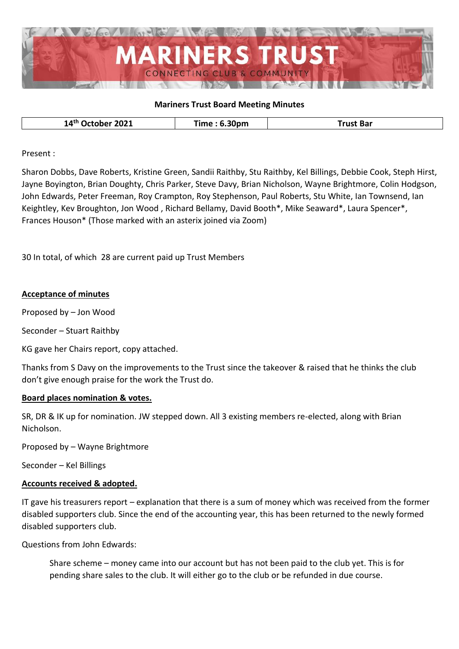

### **Mariners Trust Board Meeting Minutes**

| 2021<br>14 <sup>th</sup><br>ctober :<br>и | 6.30 <sub>pm</sub><br>. ime: | ust Bar |
|-------------------------------------------|------------------------------|---------|
|-------------------------------------------|------------------------------|---------|

Present :

Sharon Dobbs, Dave Roberts, Kristine Green, Sandii Raithby, Stu Raithby, Kel Billings, Debbie Cook, Steph Hirst, Jayne Boyington, Brian Doughty, Chris Parker, Steve Davy, Brian Nicholson, Wayne Brightmore, Colin Hodgson, John Edwards, Peter Freeman, Roy Crampton, Roy Stephenson, Paul Roberts, Stu White, Ian Townsend, Ian Keightley, Kev Broughton, Jon Wood , Richard Bellamy, David Booth\*, Mike Seaward\*, Laura Spencer\*, Frances Houson\* (Those marked with an asterix joined via Zoom)

30 In total, of which 28 are current paid up Trust Members

### **Acceptance of minutes**

Proposed by – Jon Wood

Seconder – Stuart Raithby

KG gave her Chairs report, copy attached.

Thanks from S Davy on the improvements to the Trust since the takeover & raised that he thinks the club don't give enough praise for the work the Trust do.

#### **Board places nomination & votes.**

SR, DR & IK up for nomination. JW stepped down. All 3 existing members re-elected, along with Brian Nicholson.

Proposed by – Wayne Brightmore

Seconder – Kel Billings

# **Accounts received & adopted.**

IT gave his treasurers report – explanation that there is a sum of money which was received from the former disabled supporters club. Since the end of the accounting year, this has been returned to the newly formed disabled supporters club.

Questions from John Edwards:

Share scheme – money came into our account but has not been paid to the club yet. This is for pending share sales to the club. It will either go to the club or be refunded in due course.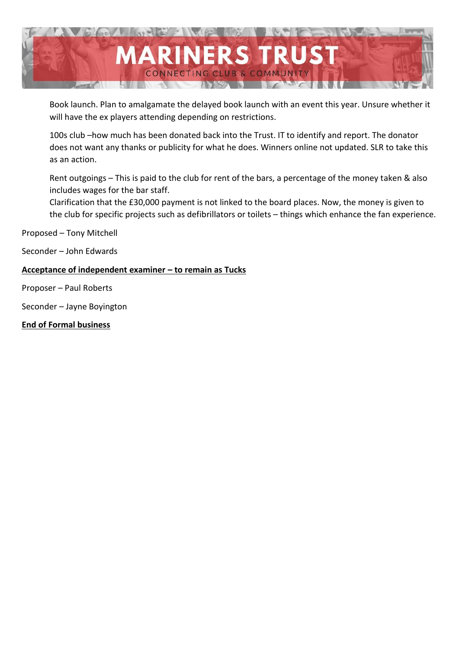

Book launch. Plan to amalgamate the delayed book launch with an event this year. Unsure whether it will have the ex players attending depending on restrictions.

100s club –how much has been donated back into the Trust. IT to identify and report. The donator does not want any thanks or publicity for what he does. Winners online not updated. SLR to take this as an action.

Rent outgoings – This is paid to the club for rent of the bars, a percentage of the money taken & also includes wages for the bar staff.

Clarification that the £30,000 payment is not linked to the board places. Now, the money is given to the club for specific projects such as defibrillators or toilets – things which enhance the fan experience.

Proposed – Tony Mitchell

Seconder – John Edwards

# **Acceptance of independent examiner – to remain as Tucks**

Proposer – Paul Roberts

Seconder – Jayne Boyington

**End of Formal business**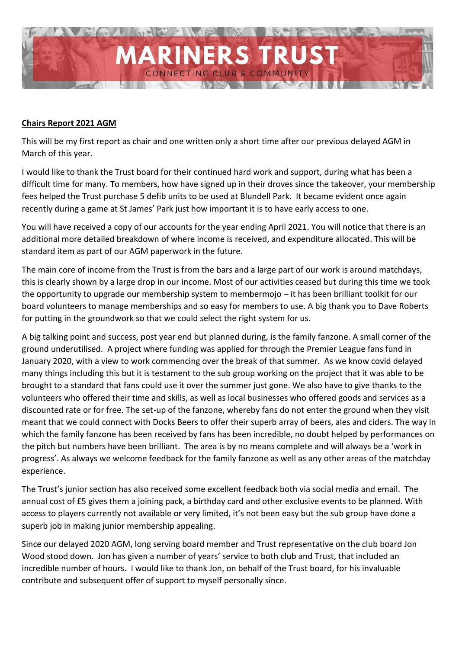

## **Chairs Report 2021 AGM**

This will be my first report as chair and one written only a short time after our previous delayed AGM in March of this year.

I would like to thank the Trust board for their continued hard work and support, during what has been a difficult time for many. To members, how have signed up in their droves since the takeover, your membership fees helped the Trust purchase 5 defib units to be used at Blundell Park. It became evident once again recently during a game at St James' Park just how important it is to have early access to one.

You will have received a copy of our accounts for the year ending April 2021. You will notice that there is an additional more detailed breakdown of where income is received, and expenditure allocated. This will be standard item as part of our AGM paperwork in the future.

The main core of income from the Trust is from the bars and a large part of our work is around matchdays, this is clearly shown by a large drop in our income. Most of our activities ceased but during this time we took the opportunity to upgrade our membership system to membermojo – it has been brilliant toolkit for our board volunteers to manage memberships and so easy for members to use. A big thank you to Dave Roberts for putting in the groundwork so that we could select the right system for us.

A big talking point and success, post year end but planned during, is the family fanzone. A small corner of the ground underutilised. A project where funding was applied for through the Premier League fans fund in January 2020, with a view to work commencing over the break of that summer. As we know covid delayed many things including this but it is testament to the sub group working on the project that it was able to be brought to a standard that fans could use it over the summer just gone. We also have to give thanks to the volunteers who offered their time and skills, as well as local businesses who offered goods and services as a discounted rate or for free. The set-up of the fanzone, whereby fans do not enter the ground when they visit meant that we could connect with Docks Beers to offer their superb array of beers, ales and ciders. The way in which the family fanzone has been received by fans has been incredible, no doubt helped by performances on the pitch but numbers have been brilliant. The area is by no means complete and will always be a 'work in progress'. As always we welcome feedback for the family fanzone as well as any other areas of the matchday experience.

The Trust's junior section has also received some excellent feedback both via social media and email. The annual cost of £5 gives them a joining pack, a birthday card and other exclusive events to be planned. With access to players currently not available or very limited, it's not been easy but the sub group have done a superb job in making junior membership appealing.

Since our delayed 2020 AGM, long serving board member and Trust representative on the club board Jon Wood stood down. Jon has given a number of years' service to both club and Trust, that included an incredible number of hours. I would like to thank Jon, on behalf of the Trust board, for his invaluable contribute and subsequent offer of support to myself personally since.